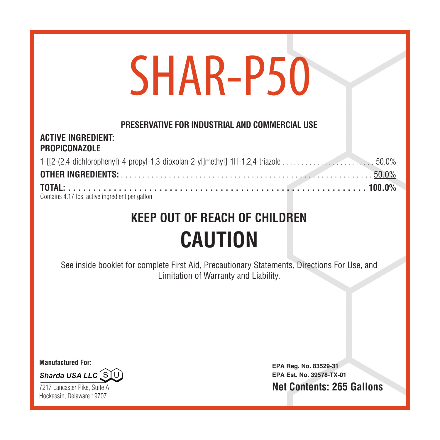# SHAR-P50

#### **PRESERVATIVE FOR INDUSTRIAL AND COMMERCIAL USE**

#### **ACTIVE INGREDIENT: PROPICONAZOLE**

| Contains 4.17 lbs, active ingredient per gallon |  |
|-------------------------------------------------|--|

# **KEEP OUT OF REACH OF CHILDREN CAUTION**

See inside booklet for complete First Aid, Precautionary Statements, Directions For Use, and Limitation of Warranty and Liability.

**Manufactured For:**



7217 Lancaster Pike, Suite A Hockessin, Delaware 19707

**EPA Reg. No. 83529-31 EPA Est. No. 39578-TX-01 Net Contents: 265 Gallons**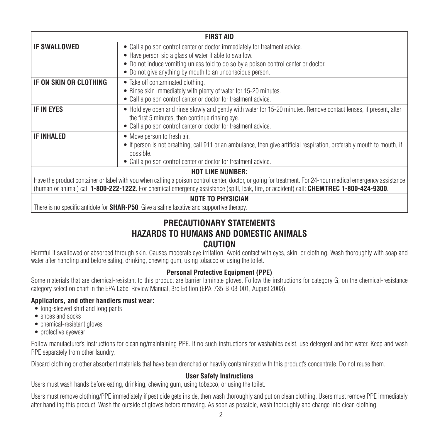| <b>FIRST AID</b>                                                                                                                                            |                                                                                                                         |  |
|-------------------------------------------------------------------------------------------------------------------------------------------------------------|-------------------------------------------------------------------------------------------------------------------------|--|
| <b>IF SWALLOWED</b>                                                                                                                                         | • Call a poison control center or doctor immediately for treatment advice.                                              |  |
|                                                                                                                                                             | • Have person sip a glass of water if able to swallow.                                                                  |  |
|                                                                                                                                                             | • Do not induce vomiting unless told to do so by a poison control center or doctor.                                     |  |
|                                                                                                                                                             | • Do not give anything by mouth to an unconscious person.                                                               |  |
| IF ON SKIN OR CLOTHING                                                                                                                                      | • Take off contaminated clothing.                                                                                       |  |
|                                                                                                                                                             | • Rinse skin immediately with plenty of water for 15-20 minutes.                                                        |  |
|                                                                                                                                                             | • Call a poison control center or doctor for treatment advice.                                                          |  |
| <b>IF IN EYES</b>                                                                                                                                           | • Hold eye open and rinse slowly and gently with water for 15-20 minutes. Remove contact lenses, if present, after      |  |
|                                                                                                                                                             | the first 5 minutes, then continue rinsing eye.                                                                         |  |
|                                                                                                                                                             | • Call a poison control center or doctor for treatment advice.                                                          |  |
| <b>IF INHALED</b>                                                                                                                                           | • Move person to fresh air.                                                                                             |  |
|                                                                                                                                                             | • If person is not breathing, call 911 or an ambulance, then give artificial respiration, preferably mouth to mouth, if |  |
|                                                                                                                                                             | possible.                                                                                                               |  |
|                                                                                                                                                             | • Call a poison control center or doctor for treatment advice.                                                          |  |
| <b>HOT LINE NUMBER:</b>                                                                                                                                     |                                                                                                                         |  |
| Have the product container or label with you when calling a poison control center, doctor, or going for treatment. For 24-hour medical emergency assistance |                                                                                                                         |  |
| (human or animal) call 1-800-222-1222. For chemical emergency assistance (spill, leak, fire, or accident) call: CHEMTREC 1-800-424-9300.                    |                                                                                                                         |  |
| <b>NOTE TO PHYSICIAN</b>                                                                                                                                    |                                                                                                                         |  |

There is no specific antidote for **SHAR-P50**. Give a saline laxative and supportive therapy.

#### **PRECAUTIONARY STATEMENTS HAZARDS TO HUMANS AND DOMESTIC ANIMALS CAUTION**

Harmful if swallowed or absorbed through skin. Causes moderate eye irritation. Avoid contact with eyes, skin, or clothing. Wash thoroughly with soap and water after handling and before eating, drinking, chewing gum, using tobacco or using the toilet.

#### **Personal Protective Equipment (PPE)**

Some materials that are chemical-resistant to this product are barrier laminate gloves. Follow the instructions for category G, on the chemical-resistance category selection chart in the EPA Label Review Manual, 3rd Edition (EPA-735-B-03-001, August 2003).

#### **Applicators, and other handlers must wear:**

- long-sleeved shirt and long pants
- shoes and socks
- chemical-resistant gloves
- protective eyewear

Follow manufacturer's instructions for cleaning/maintaining PPE. If no such instructions for washables exist, use detergent and hot water. Keep and wash PPE separately from other laundry.

Discard clothing or other absorbent materials that have been drenched or heavily contaminated with this product's concentrate. Do not reuse them.

#### **User Safety Instructions**

Users must wash hands before eating, drinking, chewing gum, using tobacco, or using the toilet.

Users must remove clothing/PPE immediately if pesticide gets inside, then wash thoroughly and put on clean clothing. Users must remove PPE immediately after handling this product. Wash the outside of gloves before removing. As soon as possible, wash thoroughly and change into clean clothing.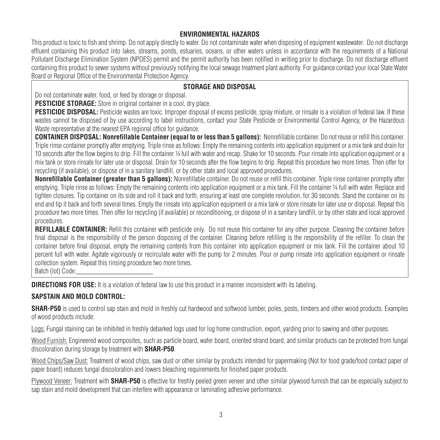#### **ENVIRONMENTAL HAZARDS**

This product is toxic to fish and shrimp. Do not apply directly to water. Do not contaminate water when disposing of equipment wastewater. Do not discharge effluent containing this product into lakes, streams, ponds, estuaries, oceans, or other waters unless in accordance with the requirements of a National Pollutant Discharge Elimination System (NPDES) permit and the permit authority has been notified in writing prior to discharge. Do not discharge effluent containing this product to sewer systems without previously notifying the local sewage treatment plant authority. For guidance contact your local State Water Board or Regional Office of the Environmental Protection Agency.

#### **STORAGE AND DISPOSAL**

Do not contaminate water, food, or feed by storage or disposal.

**PESTICIDE STORAGE:** Store in original container in a cool, dry place.

**PESTICIDE DISPOSAL:** Pesticide wastes are toxic. Improper disposal of excess pesticide, spray mixture, or rinsate is a violation of federal law. If these wastes cannot be disposed of by use according to label instructions, contact your State Pesticide or Environmental Control Agency, or the Hazardous Waste representative at the nearest EPA regional office for guidance.

**CONTAINER DISPOSAL: Nonrefillable Container (equal to or less than 5 gallons):** Nonrefillable container. Do not reuse or refill this container. Triple rinse container promptly after emptying. Triple rinse as follows: Empty the remaining contents into application equipment or a mix tank and drain for 10 seconds after the flow begins to drip. Fill the container ¼ full with water and recap. Shake for 10 seconds. Pour rinsate into application equipment or a mix tank or store rinsate for later use or disposal. Drain for 10 seconds after the flow begins to drip. Repeat this procedure two more times. Then offer for recycling (if available), or dispose of in a sanitary landfill, or by other state and local approved procedures.

**Nonrefillable Container (greater than 5 gallons):** Nonrefillable container. Do not reuse or refill this container. Triple rinse container promptly after emptying. Triple rinse as follows: Empty the remaining contents into application equipment or a mix tank. Fill the container ¼ full with water. Replace and tighten closures. Tip container on its side and roll it back and forth, ensuring at least one complete revolution, for 30 seconds. Stand the container on its end and tip it back and forth several times. Empty the rinsate into application equipment or a mix tank or store rinsate for later use or disposal. Repeat this procedure two more times. Then offer for recycling (if available) or reconditioning, or dispose of in a sanitary landfill, or by other state and local approved procedures.

**REFILLABLE CONTAINER:** Refill this container with pesticide only. Do not reuse this container for any other purpose. Cleaning the container before final disposal is the responsibility of the person disposing of the container. Cleaning before refilling is the responsibility of the refiller. To clean the container before final disposal, empty the remaining contents from this container into application equipment or mix tank. Fill the container about 10 percent full with water. Agitate vigorously or recirculate water with the pump for 2 minutes. Pour or pump rinsate into application equipment or rinsate collection system. Repeat this rinsing procedure two more times.

Batch (lot) Code:

**DIRECTIONS FOR USE:** It is a violation of federal law to use this product in a manner inconsistent with its labeling.

#### **SAPSTAIN AND MOLD CONTROL:**

**SHAR-P50** is used to control sap stain and mold in freshly cut hardwood and softwood lumber, poles, posts, timbers and other wood products. Examples of wood products include:

Logs: Fungal staining can be inhibited in freshly debarked logs used for log home construction, export, yarding prior to sawing and other purposes.

Wood Furnish: Engineered wood composites, such as particle board, wafer board, oriented strand board, and similar products can be protected from fungal discoloration during storage by treatment with **SHAR-P50**.

Wood Chips/Saw Dust: Treatment of wood chips, saw dust or other similar by products intended for papermaking (Not for food grade/food contact paper of paper board) reduces fungal discoloration and lowers bleaching requirements for finished paper products.

Plywood Veneer: Treatment with **SHAR-P50** is effective for freshly peeled green veneer and other similar plywood furnish that can be especially subject to sap stain and mold development that can interfere with appearance or laminating adhesive performance.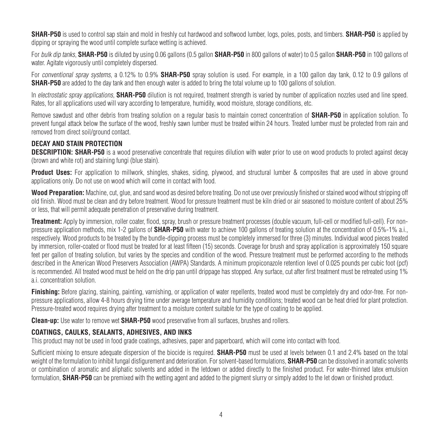**SHAR-P50** is used to control sap stain and mold in freshly cut hardwood and softwood lumber, logs, poles, posts, and timbers. **SHAR-P50** is applied by dipping or spraying the wood until complete surface wetting is achieved.

For bulk dip tanks, **SHAR-P50** is diluted by using 0.06 gallons (0.5 gallon **SHAR-P50** in 800 gallons of water) to 0.5 gallon **SHAR-P50** in 100 gallons of water. Agitate vigorously until completely dispersed.

For conventional spray systems, a 0.12% to 0.9% **SHAR-P50** spray solution is used. For example, in a 100 gallon day tank, 0.12 to 0.9 gallons of **SHAR-P50** are added to the day tank and then enough water is added to bring the total volume up to 100 gallons of solution.

In electrostatic spray applications, **SHAR-P50** dilution is not required, treatment strength is varied by number of application nozzles used and line speed. Rates, for all applications used will vary according to temperature, humidity, wood moisture, storage conditions, etc.

Remove sawdust and other debris from treating solution on a regular basis to maintain correct concentration of **SHAR-P50** in application solution. To prevent fungal attack below the surface of the wood, freshly sawn lumber must be treated within 24 hours. Treated lumber must be protected from rain and removed from direct soil/ground contact.

#### **DECAY AND STAIN PROTECTION**

**DESCRIPTION: SHAR-P50** is a wood preservative concentrate that requires dilution with water prior to use on wood products to protect against decay (brown and white rot) and staining fungi (blue stain).

**Product Uses:** For application to millwork, shingles, shakes, siding, plywood, and structural lumber & composites that are used in above ground applications only. Do not use on wood which will come in contact with food.

**Wood Preparation:** Machine, cut, glue, and sand wood as desired before treating. Do not use over previously finished or stained wood without stripping off old finish. Wood must be clean and dry before treatment. Wood for pressure treatment must be kiln dried or air seasoned to moisture content of about 25% or less, that will permit adequate penetration of preservative during treatment.

**Treatment:** Apply by immersion, roller coater, flood, spray, brush or pressure treatment processes (double vacuum, full-cell or modified full-cell). For nonpressure application methods, mix 1-2 gallons of **SHAR-P50** with water to achieve 100 gallons of treating solution at the concentration of 0.5%-1% a.i., respectively. Wood products to be treated by the bundle-dipping process must be completely immersed for three (3) minutes. Individual wood pieces treated by immersion, roller-coated or flood must be treated for at least fifteen (15) seconds. Coverage for brush and spray application is approximately 150 square feet per gallon of treating solution, but varies by the species and condition of the wood. Pressure treatment must be performed according to the methods described in the American Wood Preservers Association (AWPA) Standards. A minimum propiconazole retention level of 0.025 pounds per cubic foot (pcf) is recommended. All treated wood must be held on the drip pan until drippage has stopped. Any surface, cut after first treatment must be retreated using 1% a.i. concentration solution.

**Finishing:** Before glazing, staining, painting, varnishing, or application of water repellents, treated wood must be completely dry and odor-free. For nonpressure applications, allow 4-8 hours drying time under average temperature and humidity conditions; treated wood can be heat dried for plant protection. Pressure-treated wood requires drying after treatment to a moisture content suitable for the type of coating to be applied.

**Clean-up:** Use water to remove wet **SHAR-P50** wood preservative from all surfaces, brushes and rollers.

#### **COATINGS, CAULKS, SEALANTS, ADHESIVES, AND INKS**

This product may not be used in food grade coatings, adhesives, paper and paperboard, which will come into contact with food.

Sufficient mixing to ensure adequate dispersion of the biocide is required. **SHAR-P50** must be used at levels between 0.1 and 2.4% based on the total weight of the formulation to inhibit fungal disfigurement and deterioration. For solvent-based formulations, **SHAR-P50** can be dissolved in aromatic solvents or combination of aromatic and aliphatic solvents and added in the letdown or added directly to the finished product. For water-thinned latex emulsion formulation, **SHAR-P50** can be premixed with the wetting agent and added to the pigment slurry or simply added to the let down or finished product.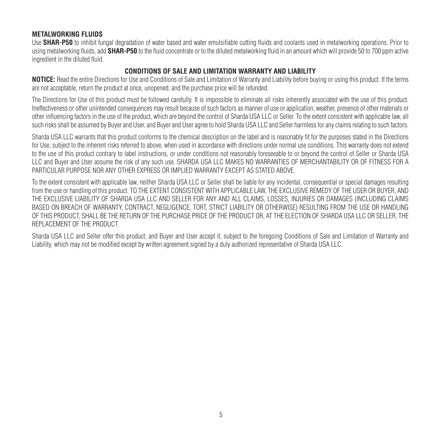#### **METALWORKING FLUIDS**

Use **SHAR-P50** to inhibit fungal degradation of water based and water emulsifiable cutting fluids and coolants used in metalworking operations. Prior to using metalworking fluids, add **SHAR-P50** to the fluid concentrate or to the diluted metalworking fluid in an amount which will provide 50 to 700 ppm active ingredient in the diluted fluid.

#### **CONDITIONS OF SALE AND LIMITATION WARRANTY AND LIABILITY**

**NOTICE:** Read the entire Directions for Use and Conditions of Sale and Limitation of Warranty and Liability before buying or using this product. If the terms are not acceptable, return the product at once, unopened, and the purchase price will be refunded.

The Directions for Use of this product must be followed carefully. It is impossible to eliminate all risks inherently associated with the use of this product. Ineffectiveness or other unintended consequences may result because of such factors as manner of use or application, weather, presence of other materials or other influencing factors in the use of the product, which are beyond the control of Sharda USA LLC or Seller. To the extent consistent with applicable law, all such risks shall be assumed by Buyer and User, and Buyer and User agree to hold Sharda USA LLC and Seller harmless for any claims relating to such factors.

Sharda USA LLC warrants that this product conforms to the chemical description on the label and is reasonably fit for the purposes stated in the Directions for Use, subject to the inherent risks referred to above, when used in accordance with directions under normal use conditions. This warranty does not extend to the use of this product contrary to label instructions, or under conditions not reasonably foreseeable to or beyond the control of Seller or Sharda USA LLC and Buyer and User assume the risk of any such use. SHARDA USA LLC MAKES NO WARRANTIES OF MERCHANTABILITY OR OF FITNESS FOR A PARTICULAR PURPOSE NOR ANY OTHER EXPRESS OR IMPLIED WARRANTY EXCEPT AS STATED ABOVE.

To the extent consistent with applicable law, neither Sharda USA LLC or Seller shall be liable for any incidental, consequential or special damages resulting from the use or handling of this product. TO THE EXTENT CONSISTENT WITH APPLICABLE LAW, THE EXCLUSIVE REMEDY OF THE USER OR BUYER, AND THE EXCLUSIVE LIABILITY OF SHARDA USA LLC AND SELLER FOR ANY AND ALL CLAIMS, LOSSES, INJURIES OR DAMAGES (INCLUDING CLAIMS BASED ON BREACH OF WARRANTY, CONTRACT, NEGLIGENCE, TORT, STRICT LIABILITY OR OTHERWISE) RESULTING FROM THE USE OR HANDLING OF THIS PRODUCT, SHALL BE THE RETURN OF THE PURCHASE PRICE OF THE PRODUCT OR, AT THE ELECTION OF SHARDA USA LLC OR SELLER, THE REPLACEMENT OF THE PRODUCT.

Sharda USA LLC and Seller offer this product, and Buyer and User accept it, subject to the foregoing Conditions of Sale and Limitation of Warranty and Liability, which may not be modified except by written agreement signed by a duly authorized representative of Sharda USA LLC.